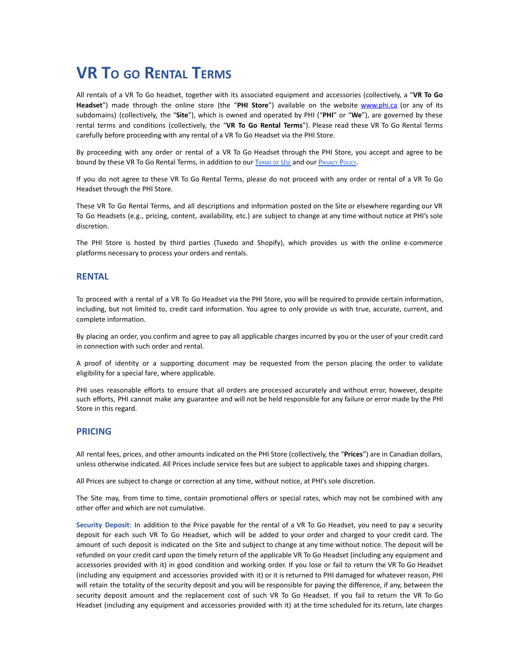# **VR T<sup>O</sup> GO RENTAL TERMS**

All rentals of a VR To Go headset, together with its associated equipment and accessories (collectively, a "**VR To Go Headset**") made through the online store (the "**PHI Store**") available on the website [www.phi.ca](http://www.phi.ca) (or any of its subdomains) (collectively, the "**Site**"), which is owned and operated by PHI ("**PHI**" or "**We**"), are governed by these rental terms and conditions (collectively, the "**VR To Go Rental Terms**"). Please read these VR To Go Rental Terms carefully before proceeding with any rental of a VR To Go Headset via the PHI Store.

By proceeding with any order or rental of a VR To Go Headset through the PHI Store, you accept and agree to be bound by these VR To Go Rental Terms, in addition to our T[ERMS](https://phi.ca/en/terms-and-conditions/) OF USE and our P[RIVACY](https://phi.ca/en/data-protection-policy/) POLICY.

If you do not agree to these VR To Go Rental Terms, please do not proceed with any order or rental of a VR To Go Headset through the PHI Store.

These VR To Go Rental Terms, and all descriptions and information posted on the Site or elsewhere regarding our VR To Go Headsets (e.g., pricing, content, availability, etc.) are subject to change at any time without notice at PHI's sole discretion.

The PHI Store is hosted by third parties (Tuxedo and Shopify), which provides us with the online e-commerce platforms necessary to process your orders and rentals.

## **RENTAL**

To proceed with a rental of a VR To Go Headset via the PHI Store, you will be required to provide certain information, including, but not limited to, credit card information. You agree to only provide us with true, accurate, current, and complete information.

By placing an order, you confirm and agree to pay all applicable charges incurred by you or the user of your credit card in connection with such order and rental.

A proof of identity or a supporting document may be requested from the person placing the order to validate eligibility for a special fare, where applicable.

PHI uses reasonable efforts to ensure that all orders are processed accurately and without error, however, despite such efforts, PHI cannot make any guarantee and will not be held responsible for any failure or error made by the PHI Store in this regard.

## **PRICING**

All rental fees, prices, and other amounts indicated on the PHI Store (collectively, the "**Prices**") are in Canadian dollars, unless otherwise indicated. All Prices include service fees but are subject to applicable taxes and shipping charges.

All Prices are subject to change or correction at any time, without notice, at PHI's sole discretion.

The Site may, from time to time, contain promotional offers or special rates, which may not be combined with any other offer and which are not cumulative.

**Security Deposit**: In addition to the Price payable for the rental of a VR To Go Headset, you need to pay a security deposit for each such VR To Go Headset, which will be added to your order and charged to your credit card. The amount of such deposit is indicated on the Site and subject to change at any time without notice. The deposit will be refunded on your credit card upon the timely return of the applicable VR To Go Headset (including any equipment and accessories provided with it) in good condition and working order. If you lose or fail to return the VR To Go Headset (including any equipment and accessories provided with it) or it is returned to PHI damaged for whatever reason, PHI will retain the totality of the security deposit and you will be responsible for paying the difference, if any, between the security deposit amount and the replacement cost of such VR To Go Headset. If you fail to return the VR To Go Headset (including any equipment and accessories provided with it) at the time scheduled for its return, late charges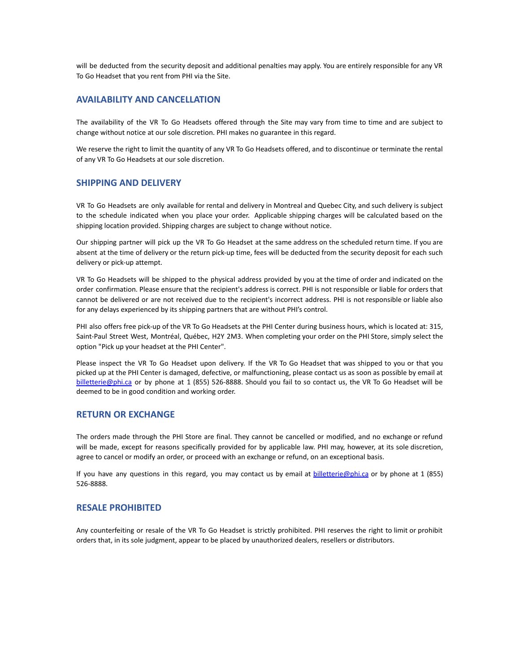will be deducted from the security deposit and additional penalties may apply. You are entirely responsible for any VR To Go Headset that you rent from PHI via the Site.

# **AVAILABILITY AND CANCELLATION**

The availability of the VR To Go Headsets offered through the Site may vary from time to time and are subject to change without notice at our sole discretion. PHI makes no guarantee in this regard.

We reserve the right to limit the quantity of any VR To Go Headsets offered, and to discontinue or terminate the rental of any VR To Go Headsets at our sole discretion.

#### **SHIPPING AND DELIVERY**

VR To Go Headsets are only available for rental and delivery in Montreal and Quebec City, and such delivery is subject to the schedule indicated when you place your order. Applicable shipping charges will be calculated based on the shipping location provided. Shipping charges are subject to change without notice.

Our shipping partner will pick up the VR To Go Headset at the same address on the scheduled return time. If you are absent at the time of delivery or the return pick-up time, fees will be deducted from the security deposit for each such delivery or pick-up attempt.

VR To Go Headsets will be shipped to the physical address provided by you at the time of order and indicated on the order confirmation. Please ensure that the recipient's address is correct. PHI is not responsible or liable for orders that cannot be delivered or are not received due to the recipient's incorrect address. PHI is not responsible or liable also for any delays experienced by its shipping partners that are without PHI's control.

PHI also offers free pick-up of the VR To Go Headsets at the PHI Center during business hours, which is located at: 315, Saint-Paul Street West, Montréal, Québec, H2Y 2M3. When completing your order on the PHI Store, simply select the option "Pick up your headset at the PHI Center".

Please inspect the VR To Go Headset upon delivery. If the VR To Go Headset that was shipped to you or that you picked up at the PHI Center is damaged, defective, or malfunctioning, please contact us as soon as possible by email at billetteri[e@phi.ca](mailto:info@phi.ca) or by phone at 1 (855) 526-8888. Should you fail to so contact us, the VR To Go Headset will be deemed to be in good condition and working order.

## **RETURN OR EXCHANGE**

The orders made through the PHI Store are final. They cannot be cancelled or modified, and no exchange or refund will be made, except for reasons specifically provided for by applicable law. PHI may, however, at its sole discretion, agree to cancel or modify an order, or proceed with an exchange or refund, on an exceptional basis.

If you have any questions in this regard, you may contact us by email at **[billetterie@phi.ca](mailto:billetterie@phi.ca)** or by phone at 1 (855) 526-8888.

#### **RESALE PROHIBITED**

Any counterfeiting or resale of the VR To Go Headset is strictly prohibited. PHI reserves the right to limit or prohibit orders that, in its sole judgment, appear to be placed by unauthorized dealers, resellers or distributors.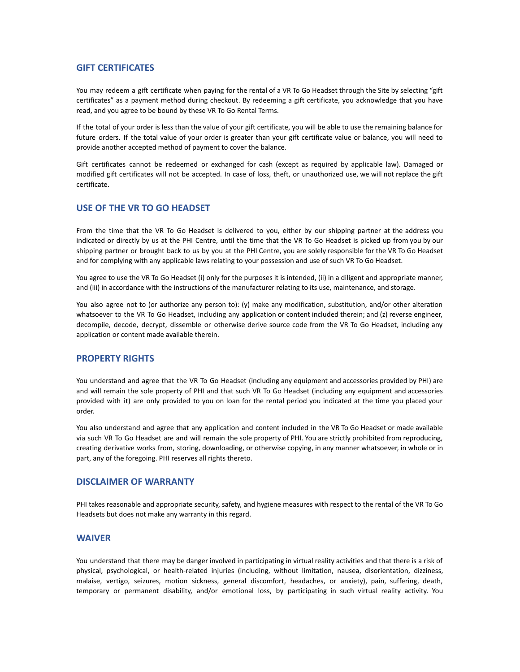## **GIFT CERTIFICATES**

You may redeem a gift certificate when paying for the rental of a VR To Go Headset through the Site by selecting "gift certificates" as a payment method during checkout. By redeeming a gift certificate, you acknowledge that you have read, and you agree to be bound by these VR To Go Rental Terms.

If the total of your order is less than the value of your gift certificate, you will be able to use the remaining balance for future orders. If the total value of your order is greater than your gift certificate value or balance, you will need to provide another accepted method of payment to cover the balance.

Gift certificates cannot be redeemed or exchanged for cash (except as required by applicable law). Damaged or modified gift certificates will not be accepted. In case of loss, theft, or unauthorized use, we will not replace the gift certificate.

## **USE OF THE VR TO GO HEADSET**

From the time that the VR To Go Headset is delivered to you, either by our shipping partner at the address you indicated or directly by us at the PHI Centre, until the time that the VR To Go Headset is picked up from you by our shipping partner or brought back to us by you at the PHI Centre, you are solely responsible for the VR To Go Headset and for complying with any applicable laws relating to your possession and use of such VR To Go Headset.

You agree to use the VR To Go Headset (i) only for the purposes it is intended, (ii) in a diligent and appropriate manner, and (iii) in accordance with the instructions of the manufacturer relating to its use, maintenance, and storage.

You also agree not to (or authorize any person to): (y) make any modification, substitution, and/or other alteration whatsoever to the VR To Go Headset, including any application or content included therein; and (z) reverse engineer, decompile, decode, decrypt, dissemble or otherwise derive source code from the VR To Go Headset, including any application or content made available therein.

## **PROPERTY RIGHTS**

You understand and agree that the VR To Go Headset (including any equipment and accessories provided by PHI) are and will remain the sole property of PHI and that such VR To Go Headset (including any equipment and accessories provided with it) are only provided to you on loan for the rental period you indicated at the time you placed your order.

You also understand and agree that any application and content included in the VR To Go Headset or made available via such VR To Go Headset are and will remain the sole property of PHI. You are strictly prohibited from reproducing, creating derivative works from, storing, downloading, or otherwise copying, in any manner whatsoever, in whole or in part, any of the foregoing. PHI reserves all rights thereto.

#### **DISCLAIMER OF WARRANTY**

PHI takes reasonable and appropriate security, safety, and hygiene measures with respect to the rental of the VR To Go Headsets but does not make any warranty in this regard.

## **WAIVER**

You understand that there may be danger involved in participating in virtual reality activities and that there is a risk of physical, psychological, or health-related injuries (including, without limitation, nausea, disorientation, dizziness, malaise, vertigo, seizures, motion sickness, general discomfort, headaches, or anxiety), pain, suffering, death, temporary or permanent disability, and/or emotional loss, by participating in such virtual reality activity. You